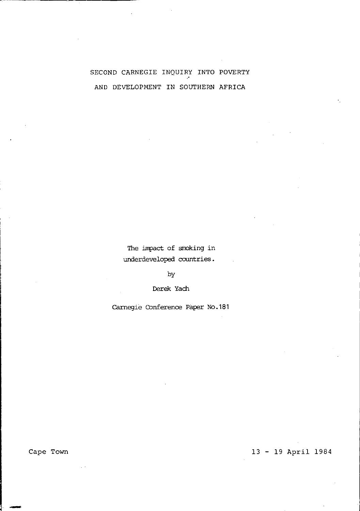# SECOND CARNEGIE INQUIRY INTO POVERTY AND DEVELOPMENT IN SOUTHERN AFRICA

The impact of smoking in underdeveloped countries.

by

Derek Yach

carnegie Conference Paper No.181

Cape Town

13 - 19 April 1984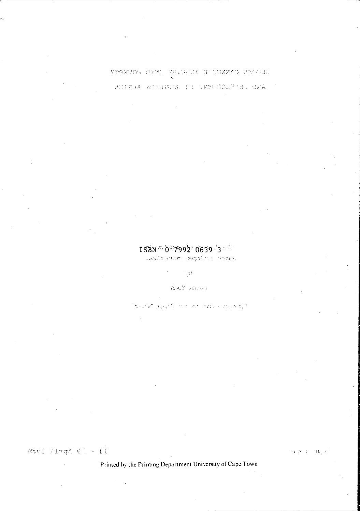# YTAETOS OFM. PHADELL HUSBARD STODIE ADIRDA ATTAINMENT COMBUSOURGE, CAA

# $ISBN^{\infty}$  0 7992 0639 3

Lesinareon Ascolmativana.

136

AAY 20187

180 AM BAY 5 TOP OF THE CITY AT BIT

13 - 19 April 1988

 $\overline{\mathcal{M}}_i$  .3

Printed by the Printing Department University of Cape Town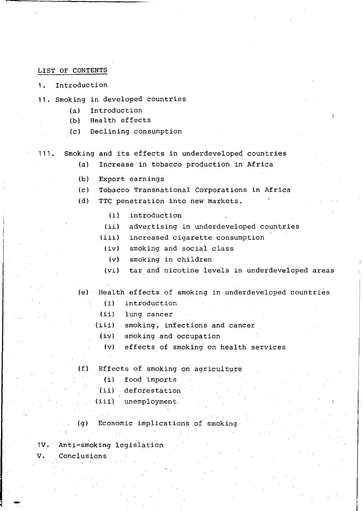### LIST OF CONTENTS

1. Introduction

- 11. Smoking in developed countries
	- (a) Introduction
	- (b) Health effects
	- (c) Declining consumption
- 111. Smoking and its effects in underdeveloped countries
	- (a) Increase in tobacco production in Africa
	- (b) Export earnings
	- (c) Tobacco Transnational Corporations in Africa
	- (d) TTC penetration into new markets.
		- *(i)*  introduction
		- $(iii)$ advertising in underdeveloped countries
		- (iii) increased cigarette consumption
		- (iv) smoking and social class
		- (v) smoking in children
		- (vi) tar and nicotine levels in underdeveloped areas
	- (e) Health effects of smoking in underdeveloped countries
		- (i) introduction
		- $(iii)$ lung cancer
		- $(iii)$ smoking, infections and cancer
			- (iv) smoking and occupation
			- (v) effects of smoking on health services
	- (f) Effects of smoking on agriculture
		- *(i)* food imports
		- (ii) deforestation
		- (iii) unemployment

(g) Economic implications of smoking

.1V. Anti-smoking legislation

v. Conclusions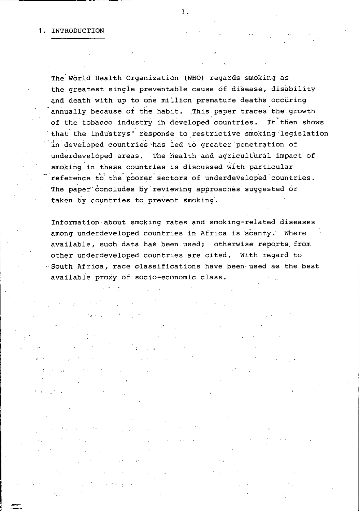$\mathbf{r}$ 

" '

 $\mathbf{r}$ 

The World Health Organization (WHO) regards smoking as the greatest singie preventable cause of disease, disability and death with up to one million premature deaths occuring annually because of the habit. This paper traces the growth of the tobacco industry in developed countries. It then shows that the industrys' response to restrictive smoking legislation 'in developed countries has led to greater' penetration of underdeveloped areas. The health and agricultural impact of smoking in these countries is discussed with particular **reference** to~ **the"** poor~r" **Eiectors of underdeveloped' countries.**  The paper concludes by reviewing approaches suggested or taken by countries to prevent smoking.

Information about smoking rates and smoking-related diseases among underdeveloped countries in Africa is scanty. Where available, such data has been used; otherwise reports from other underdeveloped countries are cited. With regard to ", South Africa, race classifications have been- used as the best available proxy of socio-economic class.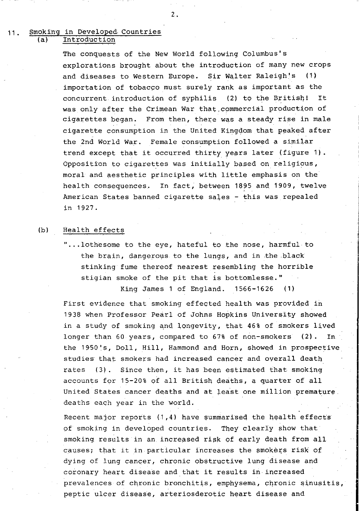## 11. Smoking in Developed Countries Introduction

The conquests of the New World following Columbus's explorations brought about the introduction of many new crops and diseases to Western Europe. Sir Walter Raleigh's (1) importation of tobacco must surely rank as important as the concurrent introduction of syphilis (2) to the British! It was only after the Crimean War that.commercial production of cigarettes began. From then, there was a steady rise in male cigarette consumption in the United Kingdom that peaked after the 2nd World War. Female consumption followed a similar trend except that it occurred thirty years later (figure 1). Opposition to cigarettes was initially based on religious, moral and aesthetic principles with little emphasis on the health consequences. In fact, between 1895 and 1909, twelve American States banned cigarette sales - this was repealed in 1927.

## (b) Health effects

"...lothesome to the eye, hateful to the nose, harmful to the brain, dangerous to the lungs, and in the black stinking fume thereof nearest resembling the horrible stigian smoke of the pit that is bottomlesse." King James 1 of England.  $1566-1626$  (1)

First evidence that smoking effected health was provided in 1938 when Professor Pearl of Johns Hopkins University showed in a study of smoking and longevity, that 46% of smokers lived longer than 60 years, compared to 67% of non-smokers (2). In the 1950's, Doll, Hill, Hammond and Horn, showed in prospective studies that smokers had increased cancer and overall death rates  $(3)$ . Since then, it has been estimated that smoking accounts for 15-20% Of all British deaths, a quarter of all United States cancer deaths and at least one million premature deaths each year in the world.

Recent major reports  $(1,4)$  have summarised the health effects of smoking in developed countries. They clearly show that smoking results in an increased risk of early death from all causes; that it in particular increases the smokers risk of dying of lung cancer, chronic obstructive lung disease and coronary heart disease and that it results in increased prevalences of chronic bronchitis, emphysema, chronic sinusitis, peptic ulcer disease, arteriosderotic heart disease and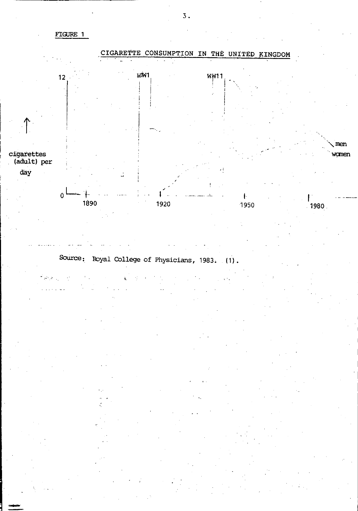FIGURE 1



Source: Royal College of Physicians, 1983. (1).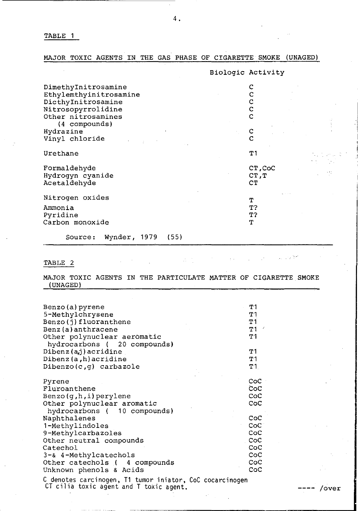TABLE 1

MAJOR TOXIC AGENTS IN THE GAS PHASE OF CIGARETTE SMOKE (UNAGED)

|                                 | Biologic Activity |  |
|---------------------------------|-------------------|--|
| DimethyInitrosamine             |                   |  |
| Ethylemthyinitrosamine          |                   |  |
| DicthyInitrosamine              |                   |  |
| Nitrosopyrrolidine              | с                 |  |
| Other nitrosamines              |                   |  |
|                                 |                   |  |
| (4 compounds)                   |                   |  |
| Hydrazine                       |                   |  |
| Vinyl chloride                  |                   |  |
| Urethane                        | T 1               |  |
|                                 |                   |  |
| Formaldehyde                    | CT.CoC            |  |
| Hydroqyn cyanide                | CT, T             |  |
| Acetaldehyde                    | CТ                |  |
|                                 |                   |  |
| Nitrogen oxides                 |                   |  |
|                                 | т                 |  |
| Ammonia                         | T?                |  |
| Pyridine                        | Τ?                |  |
| Carbon monoxide                 | т                 |  |
| Wynder, 1979<br>(55)<br>Source: |                   |  |

TABLE 2

 $\bar{z}$ 

MAJOR TOXIC AGENTS IN THE PARTICULATE MATTER OF CIGARETTE SMOKE (UNAGED)

addy and the case

| Benzo (a) pyrene<br>5-Methylchrysene<br>Benzo(j)fluoranthene<br>Benz (a) anthracene<br>Other polynuclear aeromatic<br>hydrocarbons (20 compounds)<br>Dibenz(aj)acridine<br>Dibenz(a,h)acridine | т1<br>Τ1<br>т1<br>$\prime$<br>Τ1<br>Τ1<br>T1<br><b>T1</b> |
|------------------------------------------------------------------------------------------------------------------------------------------------------------------------------------------------|-----------------------------------------------------------|
| $Dipenzo(c,q)$ carbazole                                                                                                                                                                       | T 1                                                       |
| Pyrene                                                                                                                                                                                         | CoC<br>CoC                                                |
| Fluroanthene<br>$Benzo(q,h,i)$ perylene                                                                                                                                                        | $_{\rm coc}$                                              |
| Other polynuclear aromatic<br>hydrocarbons (10 compounds)                                                                                                                                      | CoC                                                       |
| Naphthalenes                                                                                                                                                                                   | $_{\rm{CoC}}$                                             |
| 1-Methylindoles                                                                                                                                                                                | CoC                                                       |
| 9-Methylcarbazoles                                                                                                                                                                             | CoC                                                       |
| Other neutral compounds                                                                                                                                                                        | CoC                                                       |
| Catechol                                                                                                                                                                                       | $_{\rm coc}$                                              |
| 3-& 4-Methylcatechols                                                                                                                                                                          | $_{\rm coc}$                                              |
| Other catechols (4 compounds                                                                                                                                                                   | CoC                                                       |
| Unknown phenols & Acids                                                                                                                                                                        | CoC                                                       |
| C denotes carcinogen, T1 tumor iniator, CoC cocarcinogen<br>CT cilia toxic agent and T toxic agent.                                                                                            |                                                           |

**----** *lover* 

Ņ. чğ

 $\sim 10^{11}$  km  $^{-2}$  km  $^{-2}$ 

 $\mathcal{L}_{\text{max}}$  and  $\mathcal{L}_{\text{max}}$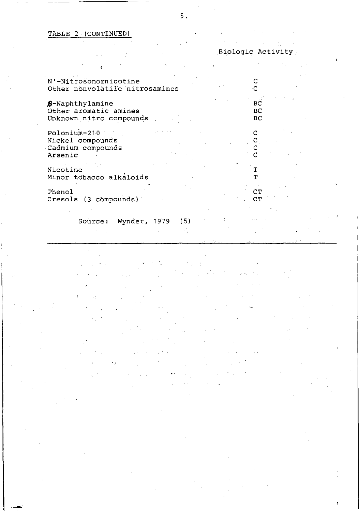## TABLE 2 (CONTINUED)

| Biologic Activity |  |
|-------------------|--|
|                   |  |

| N'-Nitrosonornicotine<br>Other nonvolatile nitrosamines                      |                 |                |  |
|------------------------------------------------------------------------------|-----------------|----------------|--|
| <b>\$-</b> Naphthylamine<br>Other aromatic amines<br>Unknown nitro compounds |                 | BС<br>BC<br>вc |  |
| Polonium-210<br>Nickel compounds<br>Cadmium compounds<br>Arsenic             |                 |                |  |
| Nicotine<br>Minor tobacco alkáloids                                          |                 |                |  |
| Phenol<br>Cresols (3 compounds)                                              |                 | СT<br>CT       |  |
| $S$ ource $\cdot$                                                            | Wvnder 1979 (5) |                |  |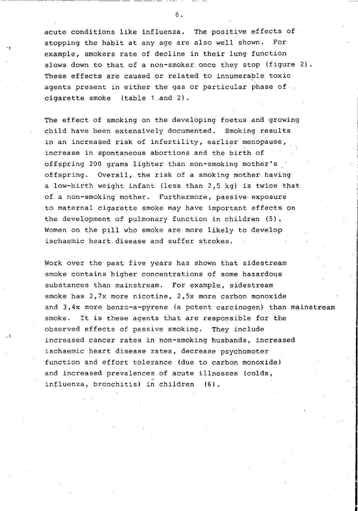acute conditions like influenza. The positive effects of stopping the habit at any age are also well shown. For example, smokers rate of decline in their lung function slows down to that of a non-smoker once they stop (figure 2). These effects are caused or related to innumerable toxic agents present in either the gas or particular phase of a cigarette smoke (table 1 .and 2).

 $\ddot{\phantom{a}}$ 

 $\cdot$  !

The effect of smoking on the developing foetus and growing child have been extensively documented. Smoking results in an increased risk of infertility, earlier menopause, increase in spontaneous abortions and the birth of offspring 200 grams lighter than non-smoking mother's offspring. Overall, the risk of a smoking mother having a low-birth weight infant (less than 2,5 kg) is twice that of a non-smoking mother. FUrthermore, passive exposure to maternal cigarette smoke may have important effects on the development of pulmonary function in children  $(5)$ . Women on the pill who smoke are more likely to develop ischaemic heart disease and suffer strokes.

Work over the past five years has shown that sidestream smoke contains higher concentrations of some hazardous substances than mainstream. For example, sidestream smoke has 2,7x more nicotine, 2,5x more carbon monoxide and 3,4x more benzo-a-pyrene (a potent carcinogen) than mainstream smoke. It is these agents that are responsible for the observed effects of passive smoking. They include increased cancer rates in non-smoking husbands, increased ischaemic heart disease rates, decrease psychomoter function and effort tolerance (due to carbon monoxide) and increased prevalences of acute illnesses (colds, influenza, bronchitis) in children (6).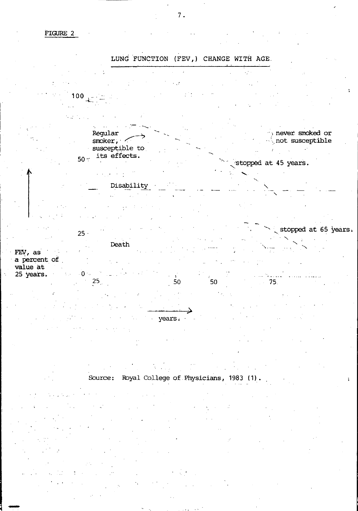FIGURE 2



Source: Royal College of Physicians, 1983 (1).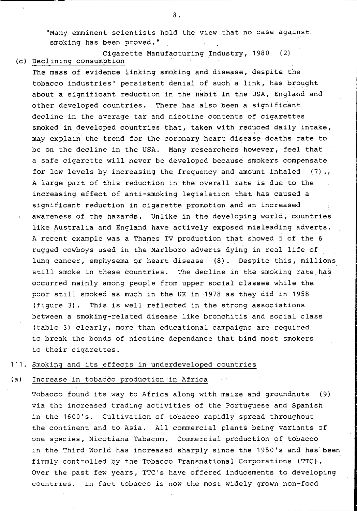"Many emminent scientists hold the view that no case against smoking has been proved."

Cigarette Manufacturing Industry, 1980 (2) (c) Declining consumption .

The mass of evidence linking smoking and disease, despite the tobacco industries' persistent denial of such a link, has brought about a significant reduction in the habit in the USA, Engiand and other developed countries. There has also been a significant decline in the average tar and nicotine contents of cigarettes smoked in developed countries that, taken with reduced daily intake, may explain the trend for the coronary heart disease deaths rate to be on the decline in the USA. Many researchers however, feel that a safe cigarette will never be developed because smokers compensate for low levels by increasing the frequency and amount inhaled  $(7)$ . A large part of this reduction in the overall rate is due to the increasing effect of anti-smoking legislation that has caused a significant reduction in cigarette promotion and an increased awareness of the hazards. Unlike in the developing world, countries like Australia and England have actively exposed misleading adverts. A recent example was a Thames TV production that showed 5 of the 6 rugged cowboys used in the Marlboro adverts dying in real life of lung cancer, emphysema or heart disease (8). Despite this, millions still smoke in these countries. The decline in the smoking rate has occurred mainly among people from upper social classes while the poor still smoked as much in the UK in 1978 as they did in 1958 (figure 3). This is well reflected in the strong associations between a smoking-related disease like bronchitis and social class (table 3) clearly, more than educational campaigns are required to break the bonds of nicotine dependance that bind most smokers to their cigarettes.

## 111. Smoking and its effects in underdeveloped countries

#### (a) Increase in tobacco production in Africa

Tobacco found its way to Africa along with maize and groundnuts (9) via the increased trading activities of the Portuguese and Spanish in the 1600's. Cultivation of tobacco rapidly spread throughout the continent and to Asia. All commercial plants being variants of one species, Nicotiana Tabacum. Commercial production of tobacco in the Third World has increased sharply since the 1950's and has been firmly controlled by the Tobacco Transnational Corporations (TTC). Over the past few years, TTC's have offered inducements to developing countries. In fact tobacco is now the most widely grown non-food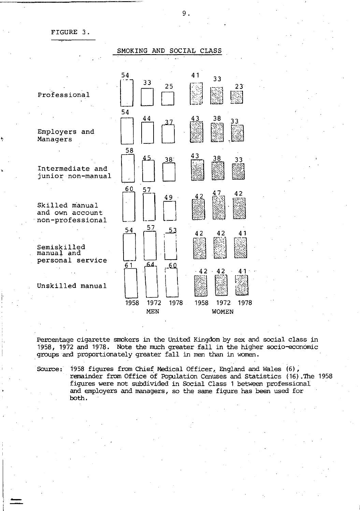## FIGURE 3.

|                                                       | SMOKING                     | AND SOCIAL CLASS                     |
|-------------------------------------------------------|-----------------------------|--------------------------------------|
|                                                       |                             |                                      |
| Professional                                          | 54<br>33<br>25              | 41<br>33<br>23                       |
| Employers and<br>Managers                             | 54<br>44                    | 38<br>43                             |
| Intermediate and<br>junior non-manual                 | 58<br>45<br>38              | 43<br>38<br>33                       |
| Skilled manual<br>and own account<br>non-professional | 60<br>57<br>49              | 42                                   |
| Semiskilled<br>manual and<br>personal service         | 57<br>54                    | 42<br>42                             |
| Unskilled manual                                      | 64<br>61<br>60              | 42<br>42                             |
|                                                       | 1958<br>1972<br>1978<br>MEN | 1972<br>1958<br>1978<br><b>WOMEN</b> |
|                                                       |                             |                                      |

Percentage cigarette smokers in the United Kingdom by sex and social class in 1958, 1972 and 1978. Note the much greater fall in the higher socio-economic groups and proportionately greater fall in men than in women.

Source: 1958 figures from Chief Medical Officer, England and Wales (6), remainder from Office of Population Cenuses and Statistics (16). The 1958 figures were not subdivided in Social Class 1 between professional and employers and managers, so the same figure has been used for both.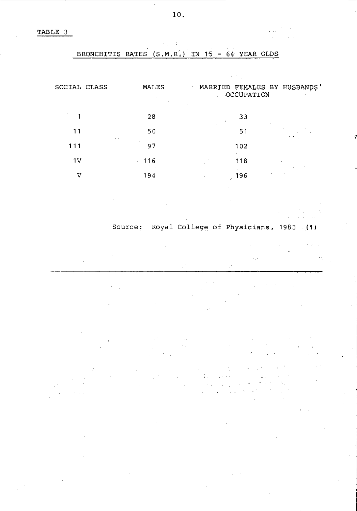TABLE 3

## BRONCHITIS RATES  $(S.M.R.)$  IN 15 - 64 YEAR OLDS

| SOCIAL CLASS   | ٠              | <b>MALES</b> |    | OCCUPATION |           | MARRIED FEMALES BY HUSBANDS'<br>$\sim$ 10 $\pm$ |
|----------------|----------------|--------------|----|------------|-----------|-------------------------------------------------|
|                |                | 28           | ×. | 33         |           |                                                 |
| 11             |                | 50           |    | 151        |           | $\cdots$                                        |
| 111            | $\cdots$       | 97           |    | 102<br>٠.  |           |                                                 |
| 1 <sub>V</sub> | $\blacksquare$ | 116          |    | 118        | $\bullet$ |                                                 |
| v              |                | 194          | ż  | 196        |           |                                                 |

## Source: Royal College of Physicians, 1983 (1)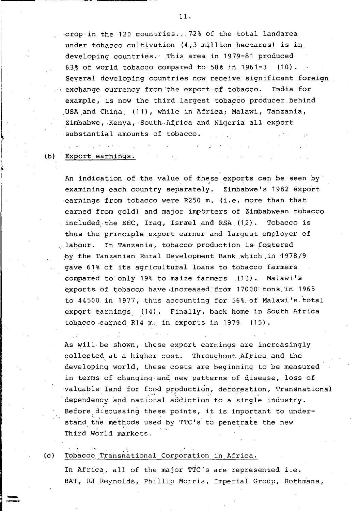crop in the 120 countries...72% of the total landarea under tobacco cultivation  $(4,3$  million hectares) is in. developing countries. This area in 1979-81 produced 63% of world tobacco compared to 50% in 1961-3  $(10)$ . Several developing countries now receive significant foreign exchange currency from the export of tobacco. India for example, is now the third largest tobacco producer behind USA and China (11), while in Africa; Malawi, Tanzania, Zimbabwe, Kenya, South Africa and Nigeria all export substantial amounts of tobacco.

#### $(b)$ Export earnings.

An indication of the value of these exports can be seen by examining each country separately. Zimbabwe's 1982 export earnings from tobacco were R250 m. (i.e. more than that earned from gold) and major importers of Zimbabwean tobacco included the EEC. Iraq. Israel and RSA (12). Tobacco is thus the principle export earner and largest employer of labour. In Tanzania, tobacco production is fostered by the Tanzanian Rural Development Bank which in 1978/9 gave 61% of its agricultural loans to tobacco farmers compared to only 19% to maize farmers (13). Malawi's exports of tobacco have increased from 17000 tons in 1965 to 44500 in 1977, thus accounting for 56% of Malawi's total export earnings (14). Finally, back home in South Africa tobacco earned R14 m. in exports in 1979. (15).

As will be shown, these export earnings are increasingly collected at a higher cost. Throughout Africa and the developing world, these costs are beginning to be measured in terms of changing and new patterns of disease, loss of valuable land for food production, deforestion, Transnational dependency and national addiction to a single industry. Before discussing these points, it is important to understand the methods used by TTC's to penetrate the new Third World markets.

#### $(c)$ Tobacco Transnational Corporation in Africa.

In Africa, all of the major TTC's are represented i.e. BAT, RJ Reynolds, Phillip Morris, Imperial Group, Rothmans,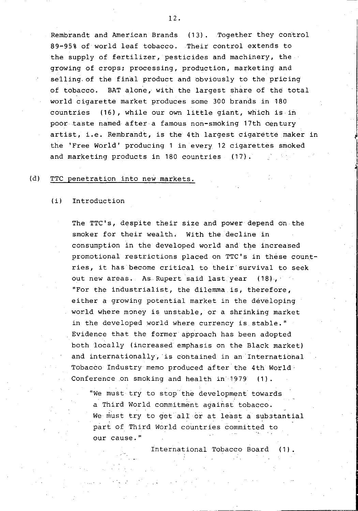Rembrandt and American Brands (13). Together they control 89-95% of world leaf tobacco. Their control extends to the supply of fertilizer, pesticides and machinery, the growing of crops; processing, production, marketing and selling of the final product and obviously to the pricing of tobacco. BAT alone, with the largest share of the total world cigarette market produces some 300 brands in 180 countries (16), while our own little giant, which is in poor taste named after a famous non-smoking 17th century artist, i.e. Rembrandt, is the 4th largest cigarette maker in the 'Free World' producing 1 in every 12 cigarettes smoked and marketing products in 180 countries (17).

## (d) TTC penetration into new markets.

## (i) Introduction

The TTC's, despite their size and power depend on the smoker for their wealth, With the decline in consumption in the developed world and the increased promotional restrictions placed on TTC's in these countries, it has become critical to their survival to seek out new areas. As Rupert said last year (18), "For the industrialist, the dilemma is, therefore, either a growing potential market in the developing world where money is unstable, or a shrinking market in the developed world where currency is stable." Evidence that the former approach has been adopted both locally (increased emphasis on the Black market) and internationally, is contained in an International Tobacco Industry memo produced after the 4th World, Conference on smoking and health in 1979 (1).

"We must try to stop" the development' towards a Third World commitment against tobacco. We must try to get all or at least a substantial part of Third World countries committed to our cause."

International Tobacco Board (1).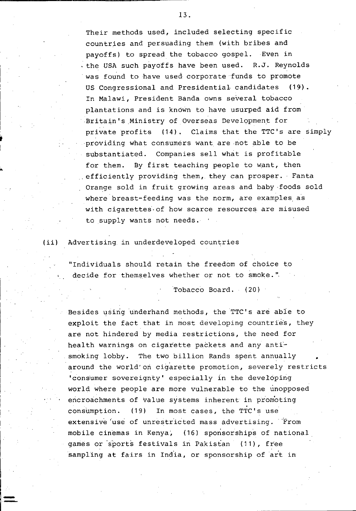Their methods used, included selecting specific countries and persuading them (with bribes and payoffs) to spread the tobacco gospel. Even in . the USA such payoffs have been used. R.J. Reynolds was found to have used corporate funds to promote us Congressional and PresidentiaL candidates (19). In Malawi, President Banda owns several tobacco plantations and is known to have usurped aid from Britain's Ministry of Overseas Development for private profits (14). Claims that the TTC's are simply providing what consumers want are not able to be substantiated. Companies sell what is profitable for them. By first teaching people to want, then efficiently providing them, they can prosper. Fanta Orange sold in fruit growing areas and baby foods sold where breast-feeding was the norm, are examples as with cigarettes of how scarce resources are misused to supply wants not needs.

(ii) Advertising in underdeveloped countries

..

**"-**

"Individuals should retain the freedom of choice to decide for themselves whether or not to smoke. ".

Tobacco Board. (20)

Besides using underhand methods, the TTC's are able to exploit the fact that in most developing countries, they are not hindered by media restrictions, the need for health warnings on cigarette packets and any antismoking lobby. The two billion Rands spent annually around the world" on cigarette promotion, severely restricts 'consumer sovereignty' especially in the developing world where people are more vulnerable to the unopposed encroachments of value systems inherent in promoting consumption. (19) In most cases, the TTC's use extensive use of unrestricted mass advertising. From mobile cinemas in Kenya, (16) sponsorships of national games or sports festivals in Pakistan (11), free sampling at fairs in India, or sponsorship of art in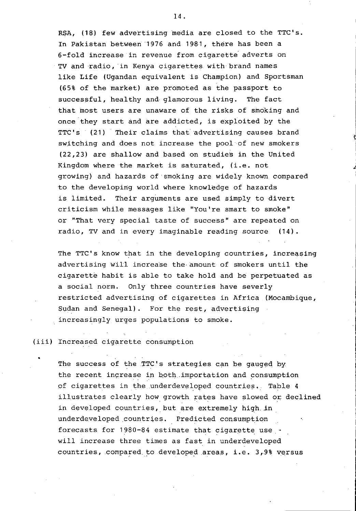RSA, (18) few advertising media are closed to the TTC's. In Pakistan between '1976 and 1981, there has been a 6-fold increase in revenue from cigarette' adverts on TV and radio, in Kenya cigarettes, with brand names like Life (Ugandan equivalent is Champion) and Sportsman (65% of the market) are promoted as the passport to successful, healthy and glamorous living. The fact that most users are unaware of the risks of smoking and once 'they start and are addicted, is exploited by the TTC's (21) Their claims that advertising causes brand switching and does not increase the pool of new smokers (22,23) are shallow and based on studies in the United Kingdom where the market is saturated, (i.e. not growing) and hazard's of smoking are widely known compared to the developing world where knowledge of hazards is limited. Their arguments are used simply to divert criticism while messages like "You're smart to smoke" or "That very special taste of success" are repeated on radio, TV and in every imaginable reading source (14).

The TTC's know that in the developing countries, increasing advertising will increase the amount of smokers until the cigarette habit is able to take hold and be perpetuated as a social norm. Only three countries have severly restricted advertising of cigarettes in Africa (Mocambique, Sudan and Senegal). For the rest, advertising increasingly urges populations to smoke.

## (iii) Increased cigarette consumption

The success of the TTC's strategies can be gauged by the recent increase in both importation and consumption of cigarettes in the underdeveloped countries. Table 4 illustrates clearly how, growth rates have slowed or declined in developed countries, but are extremely high in underdeveloped countries. Predicted consumption forecasts for  $1980-84$  estimate that cigarette use will increase three times as fast in underdeveloped countries, compared to developed areas, i.e. 3,9% versus

~<br>Jan 1990<br>Jan 1990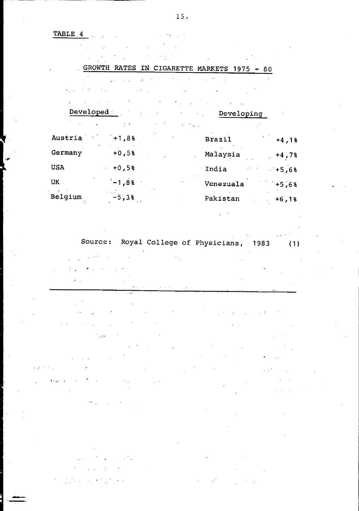TABLE. 4

GROWTH RATES IN CIGARETTE MARKETS 1975 - 80 Developed Developing  $\sim$   $\sim$ Austria  $+1,8$ % Brazil  $+4,1$ % Germany  $+0,5$ % Malaysia  $+4,7$ % USA  $+0,5%$  India  $+5,6%$ UK  $-1,8$ % Venezuala  $+5,6$ % Belgium -5,3% Pakistan +6,1%

Source: Royal College of Physicians, 1983 (1)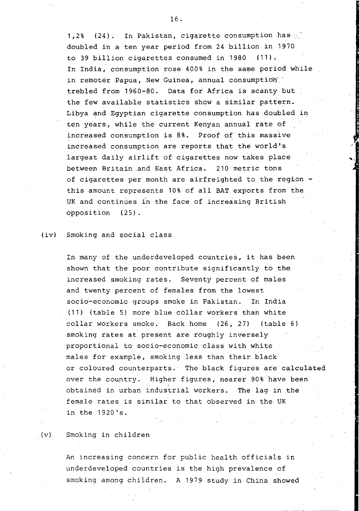1,2% (24). In Pakistan, cigarette consumption has doubled in a ten year period from 24 billion in 1970 to 39 billion cigarettes consumed in 1980 (11). In India, consumption rose 400% in the same period while in remoter Papua, New Guinea, annual consumption trebled from 1960-80. Data for Africa is scanty but the few available statistics show a similar pattern. Libya and Eqyptian cigarette consumption has doubled in ten years, while the current Kenyan annual rate of increased consumption is 8%. Proof of this massive increased consumption are reports that the world's largest daily airlift of cigarettes now takes place between Britain ,and East Africa. 210 metric tons of cigarettes per month are airfreighted to the region this amount represents 10% of all BAT exports from the UK and continues in the face of increasing British opposition (25).

## (iv) Smoking and social class

In many of the underdeveloped countries, it has been shown that the poor contribute significantly to the increased smoking rates. Seventy percent of males and twenty percent of females from the lowest socio-economic groups smoke in Pakistan. In India (11) (table 5) more blue collar workers than white collar workers smoke. Back home (26, 27) (table 6) smoking rates at present are roughly inversely proportional to socio-economic class with white males for example, smoking less than their black or coloured counterparts. The black figures are calculated over the country. Higher figures, nearer 90% have been obtained in urban industrial workers. The lag in the female rates is similar to that observed in the UK in the 1920's.

(v) Smoking in children

An increasing concern for public health officials in underdeveloped countries is the high prevalence of smoking among children. A 1979 study in China showed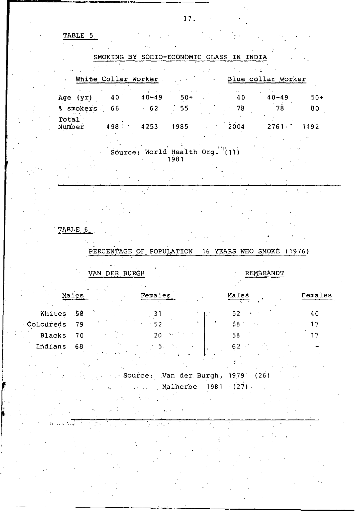TABLE 5,

r------------~---~~~~----

|                 | White Collar worker |                                |       |      | Blue collar worker   |       |
|-----------------|---------------------|--------------------------------|-------|------|----------------------|-------|
| Age (yr)        | 40                  | $40 - 49$                      | $50+$ | 40   | $40 - 49$            | $50+$ |
| % smokers       | - 66                | 62                             | 55    | - 78 | 78                   | 80    |
| Total<br>Number | 498                 | 4253                           | 1985  | 2004 | $2761.$ <sup>*</sup> | 1192  |
|                 |                     |                                |       |      |                      |       |
|                 |                     | Source: World Health Org. (11) | 1981  |      |                      |       |

## TABLE 6

## PERCENTAGE OF POPULATION 16 YEARS WHO SMOKE (1976)

VAN DER BURGH REMBRANDT

ta la s

| Ma J          | $\sim$ | Females |                             | Males | Females |
|---------------|--------|---------|-----------------------------|-------|---------|
| Whites        | -58    |         |                             | 52    | 40      |
| Coloureds     | 79     |         | $\mathcal{L}_{\mathcal{L}}$ | 58    |         |
| <b>Blacks</b> | 70     | 20      |                             | 58'   |         |
| Indians       | 68     |         |                             | 62    |         |
|               |        |         | 使人发动物                       |       |         |
|               |        |         |                             |       |         |

Source: Van der Burgh, 1979 (26) Malherbe 1981 (27),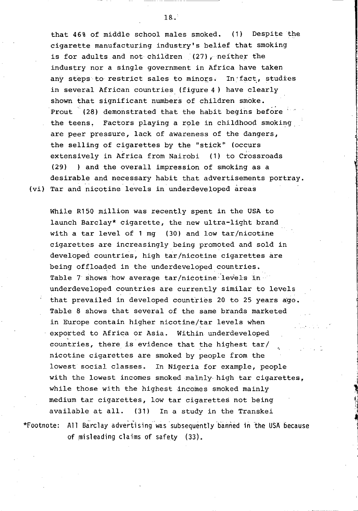that 46% of middle school males smoked. (1) Despite the cigarette manufacturing industry's belief that smoking is for adults and not children  $(27)$ . neither the industry nor a single government in Africa have taken any steps to restrict sales to minors. In fact, studies in several African countries (figure 4) have clearly shown that significant numbers of children smoke. Prout (28) demonstrated that the habit begins before the teens, Factors playing a role in childhood smoking, are peer pressure, lack of awareness of the dangers, the selling of cigarettes by the "stick" (occurs extensively in Africa from Nairobi (1) to Crossroads (29) ) and the overall impression of smoking as a desirable and necessary habit that advertisements portray. (vi) Tar and nicotine levels in underdeveloped areas

While R150 million was recently spent in the USA to launch Barclay\* cigarette, the new ultra-light brand with a tar level of 1 mg (30) and low tar/nicotine cigarettes are increasingly being promoted and sold in developed countries, high tar/nicotine cigarettes are being offloaded in the underdeveloped countries. Table 7 shows how average tar/nicotine levels in underdeveloped countries are currently similar to levels that prevailed in developed countries 20 to 25 years ago. Table 8 shows that several of the same brands marketed in Europe contain higher nicotine/tar levels when exported to Africa or Asia. Within underdeveloped countries, there is evidence that the highest tar/ nicotine cigarettes are smoked by people from the lowest social classes. In Nigeria for example, people with the lowest incomes smoked mainly, high tar cigarettes, while those with the highest incomes smoked mainly medium tar cigarettes, low tar cigarettes not being available at all. (31) In a study in the Transkei

\*Footnote: All Barclay advertising was subsequently banned in the USA because of misleading claims of safety (33).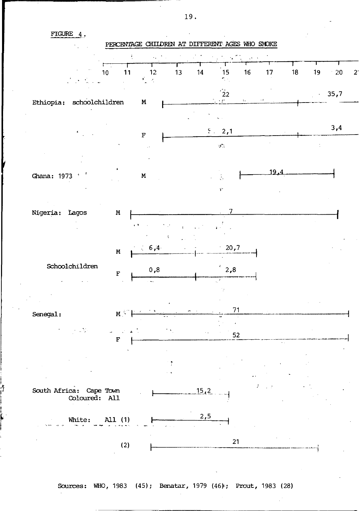FIGURE 4,.

l.  $\tilde{J}$ I I ~,



Sources: WHO, 1983 (45); Benatar, 1979 (46); Prout, 1983 (28)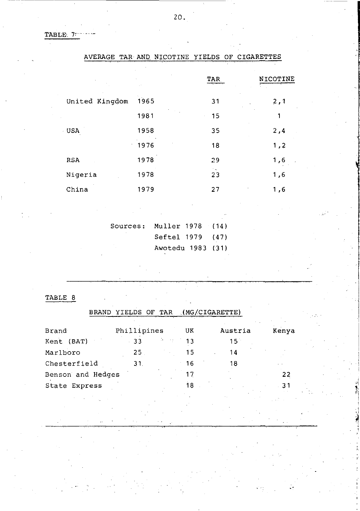TABLE. 7

|                | AVERAGE TAR AND NICOTINE | ITELDS OF CIGARETIES |          |
|----------------|--------------------------|----------------------|----------|
|                |                          | TAR                  | NICOTINE |
| United Kingdom | 1965                     | 31                   | 2,1      |
|                | 1981                     | 15                   | 1        |
| <b>USA</b>     | 1958                     | 35                   | 2,4      |
|                | 1976<br>$\epsilon$ .     | 18                   | 1,2      |
| <b>RSA</b>     | 1978                     | 29                   | 1,6      |
| Nigeria        | 1978                     | 23                   | 1,6      |
| China          | 1979                     | 27                   | 1,6      |
|                |                          |                      |          |

| Sources: Muller 1978 (14) |                   |  |
|---------------------------|-------------------|--|
|                           | Seftel 1979 (47)  |  |
|                           | Awotedu 1983 (31) |  |

TABLE 8

| <b>BRAND</b>      | YIELDS OF TAR |         |    | (MG/CIGARETTE) |       |
|-------------------|---------------|---------|----|----------------|-------|
| Brand             | Phillipines   |         | UK | Austria        | Kenya |
| Kent (BAT)        | 33            | Den son | 13 | $15^{\circ}$   |       |
| Marlboro          | 25.           |         | 15 | 14             |       |
| Chesterfield      | 31.           |         | 16 | 18             |       |
| Benson and Hedges |               |         | 17 |                | 22    |
| State Express     |               |         | 18 |                | 31    |
|                   |               |         |    |                |       |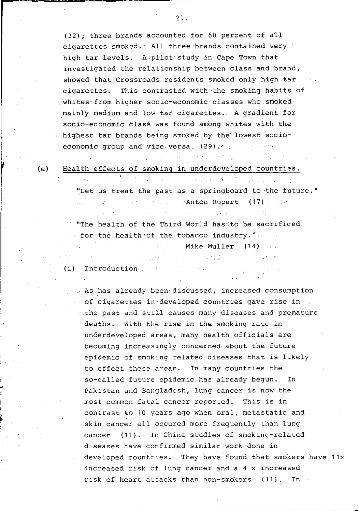(32); three brands accounted for 80 percent of a'll cigarettes smoked.' All three'brands contained very high tar levels. A pilot study in Cape Town that investigated the relationship between class and brand, showed that Crossroads residents smoked only high. tar cigarettes. This contrasted with the smoking habits of whites. from higher socio-economic classes who smoked mainly medium. and low tar cigarettes. A gradient for socio-economic class was found among whites with. the highest tar brands being smoked by the lowest socioeconomic group and viCe versa. *(29);r* 

**Communication** and the control (e) Health effects of smoking in underdeveloped countries.

> **Contract Contract Contract Contract** "Let us treat the past as a springboard to the future." Anton Rupert (17) Albert

> > **Contractor**

 $\label{eq:2.1} \mathcal{L}(\mathcal{L}) = \mathcal{L}(\mathcal{L}) = \mathcal{L}(\mathcal{L})$ 

"The health of the Third World has to be sacrificed for the health'of the tobacco industry." المنافس والأسار والموارد للقارب **Mike Muller.** (14)

**CALCULATION** 

(i) Introduction

 $\mathcal{A}=\mathcal{A}(\mathcal{A})$ 

 $\bullet$  .

**Contract Contract Contract** 

 $\mathbb{R}^n$  . As has already been discussed, increased consumption of cigarettes in developed countries gave rise in ... the past and still causes many diseases and premature deaths. With the rise in the smoking rate in underdeveloped areas, many health officials are becoming increasingly concerned· about the future epidemic of smoking related diseases that is likely to effect these areas. In many countries the so-called future epidemic has already begun. In Pakistan and Bangladesh, lung cancer is now the most common fatal cancer reported. This is in contrast to 10 years ago when oral, metastatic and skin cancer all occured more frequently than lung cancer (11). In China studies of smoking-related diseases have confirmed similar work done in developed countries. They have found that smokers have 11x increased risk of lung cancer and a 4 x increased risk of heart attacks than non-smokers (11). In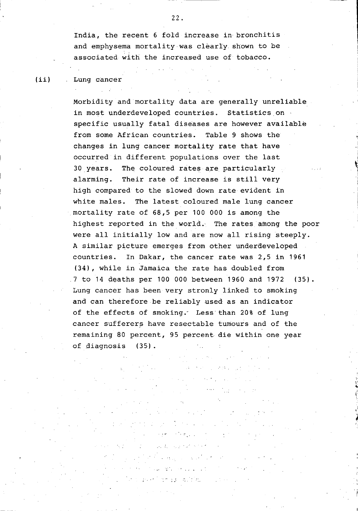India, the recent 6 fold increase in bronchitis and emphysema mortality was clearly shown to be associated with the increased use of tobacco.

## (ii) Lung cancer

Morbidity and mortality data are generally unreliable in most underdeveloped countries. Statistics on specific usually fatal diseases are however available from some African countries. Table 9 shows the changes in lung cancer mortality rate that have occurred in different populations over the last 30 years. The coloured rates are particularly alarming. Their rate of increase is still very high compared to the slowed down rate evident in white males. The latest coloured male lung cancer mortality rate of 68,5 per 100 000 is among the highest reported in the world. The rates among the poor were all initially low and are now all rising steeply. A similar picture emerges from other underdeveloped countries. In Dakar, the cancer rate was 2,5 in 1961 (34), while in Jamaica the rate has doubled from 7 to 14 deaths per 100 000 between 1960 and 1972 (35). Lung cancer has been very stronly linked to smoking and can therefore be reliably used as an indicator of the effects of smoking. Less than 20% of lung cancer sufferers have resectable tumours and of the remaining 80 percent, 95 percent die within one year of diagnosis (35).

Special S

**Controller** 

TOO WITHOUT A THE a that for a season and a **Director Angle College See also as talle** 

1  $\mathbf{v}$ .. <sup>~</sup>, .<br>ا

i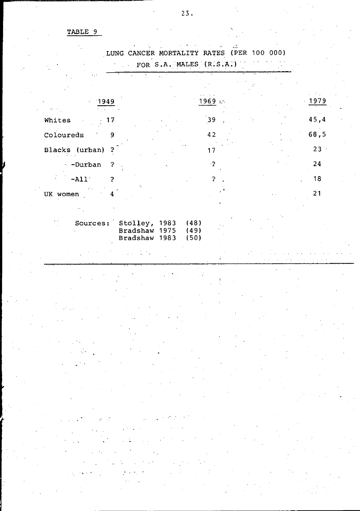## TABLE 9

| LUNG CANCER MORTALITY RATES (PER 100 000)        |                         |      |
|--------------------------------------------------|-------------------------|------|
|                                                  | FOR S.A. MALES (R.S.A.) |      |
|                                                  |                         |      |
|                                                  |                         |      |
| $-1949$                                          | ∴، 1969                 | 1979 |
| Whites<br>17                                     | 39                      | 45,4 |
| 9<br>Coloureds                                   | 42                      | 68,5 |
| Blacks (urban)<br>2                              | 17                      | 23   |
| - -Durban<br>?                                   | -2                      | 24   |
| $-AL1$<br>2                                      | 2                       | 18   |
| UK women                                         |                         | 21   |
|                                                  |                         |      |
| Sources: Stolley, 1983<br>$D - A - b - u$ $1075$ | (48)<br>1101            |      |

Bradshaw 1975 (49) Bradshaw 1983 (50) l, Ш

÷,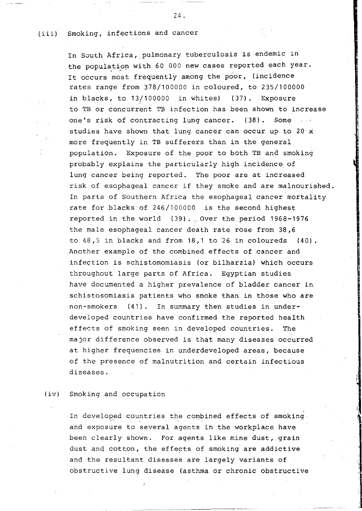## (iii) Smoking, infections and cancer

In South Africa, pulmonary tuberculosis is endemic in the population with 60 000 new cases reported each year. It occurs most frequently among the poor, (incidence rates range from 378/100000 in coloured, to 235/100000 in blacks, to 13/100000 in whites) (37). Exposure to TB or concurrent TB infection has been shown to increase one's risk of contracting lung cancer. (38). Some studies have shown that lung cancer can occur up to 20 x more frequently in TB sufferers than in the general population. Exposure of the poor to both TB and smoking probably explains the particularly high incidence of lung cancer being reported. The poor are at increased risk of esophageal cancer if they smoke and are malnourished. In parts of Southern Africa the esophageal cancer mortality rate for blacks of 246/100000 is the second highest reported in the world  $(39)$ . Over the period 1968-1976 the male esophageal cancer death rate rose from 38,6 to  $48,5$  in blacks and from  $18,1$  to  $26$  in coloureds (40). Another example of the combined effects of cancer and infection is schistomomiasis (or bilharzia) which occurs throughout large parts of Africa. Egyptian studies have documented a higher prevalence of bladder cancer in schistosomiasis patients who smoke than in those who are non-smokers (41). In summary then studies in underdeveloped countries have confirmed the reported health effects of smoking seen in developed countries. The major difference observed is that many diseases occurred at higher frequencies in underdeveloped areas, because of the presence of malnutrition and certain infectious diseases.

## (iv) Smoking and occupation

In developed countries the combined effects of smoking and exposure to several agents in the workplace have been clearly shown. For agents like mine dust, grain dust and cotton, the effects of smoking are addictive and the resultant diseases are largely variants of obstructive lung disease (asthma or chronic obstructive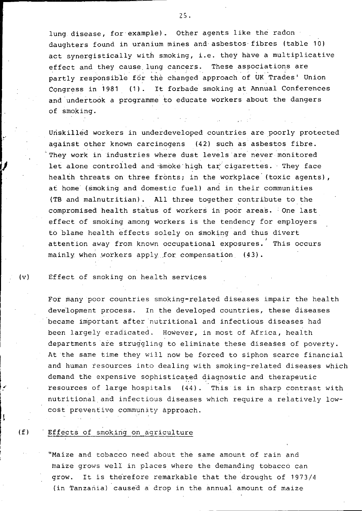lung disease, for example). Other agents like the radon daughters found in uranium mines and asbestos fibres (table 10) act synergistically with smoking, i.e. they have a multiplicative effect and they cause lung cancers. These associations are partly responsible for the changed approach of UK Trades' Union Congress in 1981 (1). It forbade smoking at Annual Conferences and undertook a programme to educate workers about the dangers of smoking.

Unskilled workers in underdeveloped countries are poorly protected against other known carcinogens (42) such as asbestos fibre. They work in industries where dust levels are never monitored let alone controlled and smoke high tar cigarettes. They face health threats on three fronts; in the workplace (toxic agents), at home (smoking and domestic fuel) and in their communities (TB and malnutritian). All three together contribute to the compromised health status of workers in poor areas. One last effect of smoking among workers is the tendency for employers to blame health effects solely on smoking and thus divert attention away from known occupational exposures. This occurs mainly when workers apply for compensation (43).

(v) Effect of smoking on health services

I

ŧ

For many poor countries smoking-related diseases impair the health development process. In the developed countries, these diseases became important after nutritional and infectious diseases had been largely eradicated. However, in most of Africa, health departments are struggling to eliminate these diseases of poverty. At the same time they will now be forced to siphon scarce financial and human resources into dealing with smoking-related diseases which demand the expensive sophisticated diagnostic and therapeutic resources of large hospitals (44). This is in sharp contrast with nutritional and infectious diseases which require a relatively lowcost preventive community approach.

## (f) Effects of smoking on agriculture

"Maize and tobacco need about the same amount of rain and maize grows well in places where the demanding tobacco can grow. It is therefore remarkable that the drought of 1973/4 (in Tanzania) caused a drop in the annual amount of maize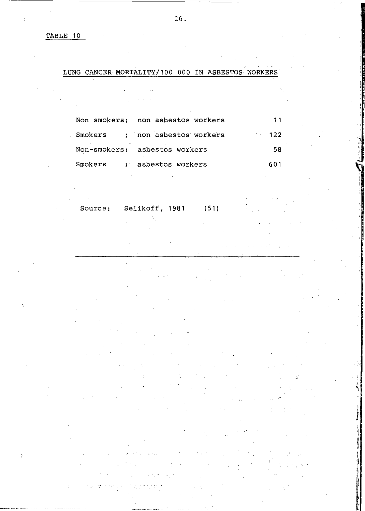TABLE 10

## LUNG CANCER MORTALITY/100 000 IN ASBESTOS WORKERS

| Non smokers: non asbestos workers | 11         |  |
|-----------------------------------|------------|--|
| Smokers ; non asbestos workers    | $\sim$ 122 |  |
| Non-smokers; asbestos workers     | 58         |  |
| Smokers : asbestos workers        | 601        |  |

Source: Selikoff, 1981 (51)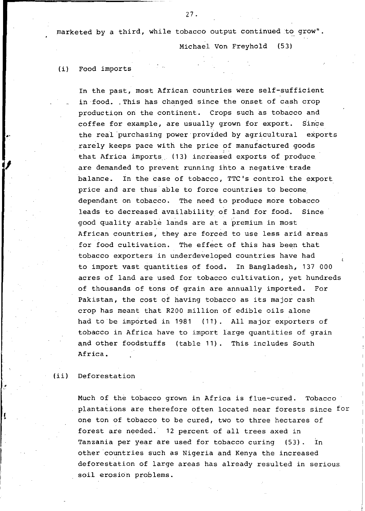marketed by a third, while tobacco output continued to grow".

Michael Von Freyhold (53)

## (i) Food imports

In the past, most African countries were self-sufficient in food. . This has changed since the onset of cash crop production on the continent. Crops such as tobacco and coffee for example, are usually grown for export. Since the real purchasing power·provided by agricultural exports rarely keeps pace with the price of manufactured goods that Africa imports (13) increased exports of produce are demanded to prevent running ihto a negative trade balance. In the case of tobacco, TTC's control the export price and are thus able to force countries to become depenqant on tobacco. The need to produce more tobacco leads to decreased availability of land for food. Since good quality arable lands are at a premium in most African countries, they are forced to use less arid areas for food cultivation. The effect of this has been that tobacco exporters in underdeveloped countries have had to import vast quantities of food. In Bangladesh, 137 000 acres of land are used for tobacco cultivation, yet hundreds of thousands of tons of grain are annually imported. For Pakistan, the cost of having tobacco as its major cash crop has meant that R200 million of edible oils alone had to be imported in 1981 (11). All major exporters of tobacco in Africa have to import large quantities of grain and other foodstuffs (table 11). This includes South Africa.

## (ii) Deforestation

Much of the tobacco grown in Africa is flue-cured. Tobacco plantations are therefore often located near forests since for one ton of tobacco to be cured, two to three hectares of forest are needed. 12 percent of all trees axed in Tanzania per year are used for tobacco curing (53). In other countries such as Nigeria and Kenya the increased deforestation of large areas has already resulted in serious soil erosion problems.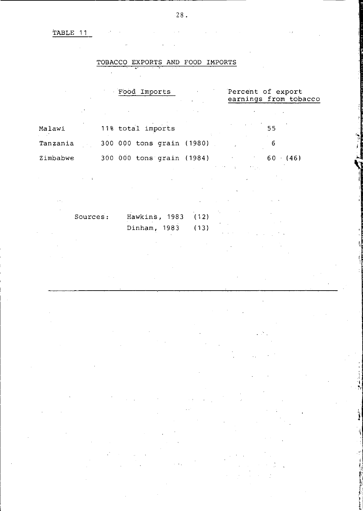TABLE **11** 

## TOBACCO EXPORTS AND FOOD IMPORTS

|                                 | Food Imports                         |                              | Percent of export       | earnings from tobacco |
|---------------------------------|--------------------------------------|------------------------------|-------------------------|-----------------------|
|                                 |                                      |                              |                         |                       |
| Malawi                          | 11% total imports                    |                              |                         | 55                    |
| Tanzania                        | 300 000 tons grain (1980)            |                              |                         | 6                     |
| Zimbabwe                        | $300\ 000$ tons grain (1984) 60 (46) |                              |                         |                       |
|                                 |                                      |                              | All control of the con- |                       |
| $\alpha \neq \beta$<br>Sources: | Hawkins, 1983<br>Dinham, 1983        | and the con-<br>(12)<br>(13) |                         |                       |
|                                 |                                      |                              |                         |                       |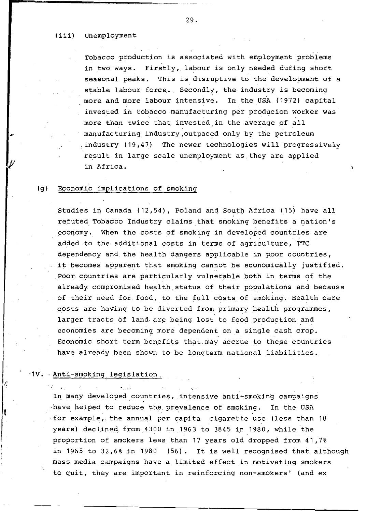### (iii) Unemployment

Tobacco·production is associated with employment problems in two ways. Firstly, labour is only needed during short seasonal peaks. This is disruptive to the development of a stable labour force.. Secondly, the industry is becoming more and more labour intensive. In the USA (1972) capital invested in tobacco manufacturing per producion worker was more than twice that invested in the average of all manufacturing industrY,outpaced only by the petroleum .industry (19,47) The newer technologies will progressively result in large scale unemployment as. they are applied in Africa.

#### (g) Economic implications of. smoking

Studies in Canada  $(12,54)$ , Poland and South Africa (15) have all refuted Tobacco Industry claims that smoking benefits a nation's economy. When the costs of smoking in developed countries are added to the additional costs in terms of agriculture, TTC dependency and the health dangers applicable in poor countries, it becomes apparent that smoking cannot be economically justified . Poor countries are particularly vulnerable both in terms of the already compromised health status of their populations and because of their need for food, to the full costs of smoking. Health care ,costs are having to be diverted from primary health programmes, larger tracts of land are being lost to food production and economies are becoming, more dependent on a single cash crop. Economic short term benefits that may accrue to these countries have already been shown to be longterm national liabilities.

#### ·1V •. Anti-smoking legislation,

 $\mathcal{F}(\mathcal{E}) = \mathcal{E}(\mathcal{E})$ 

In many developed countries, intensive anti-smoking campaigns ·have helped to reduce the prevalence of smoking. In the USA for example, the annual per capita cigarette use (less than 18 years) declined from 4300 in 1963 to 3845 in 1980, while the proportion of smokers less than 17 years old dropped from 41,7% in 1965 to 32,6% in 1980 (56). It is well recognised that although mass media campaigns have a limited effect in motivating smokers to quit, they are important in reinforcing non-smokers' (and ex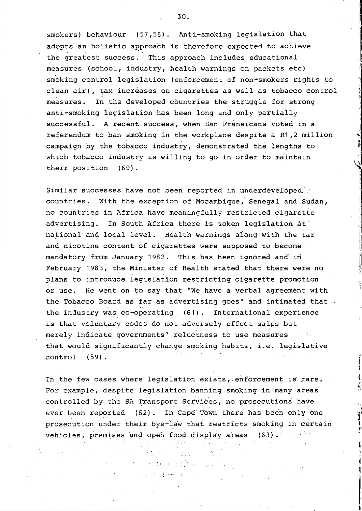smokers) behaviour (57,58). Anti-smoking legislation that adopts an holistic approach is therefore expected to achieve the greatest success. This approach includes educational measures (school, industry, health warnings on packets etc) smoking control legislation (enforcement of non-smokers rights to . clean air), tax increases on cigarettes as well as tobacco control measures. In the developed countries the struggle for strong anti-smoking legislation has been long 'and only partially successful. A recent success, when San Fransicans voted in a referendum to ban smoking in the workplace despite a R1,2 million campaign by the tobacco industry, demonstrated the lengths to which tobacco industry is willing to go in order to maintain their position (60).

Similar successes have not been reported in underdeveloped' countries. With the exception of Mocambique, Senegal and Sudan, no countries in Africa have meaningfully restricted cigarette advertising. In South Africa there is token legislation at' national and local level. Health warnings aiong with the tar and nicotine content of cigarettes were supposed to become mandatory from January 1982. This has been ignored and in February 1983, the Minister of Health stated that there were no plans to introduce legislation restricting cigarette promotion or use. He went on to say that "We have a verbal agreement with the Tobacco Board as far as advertising goes" and intimated that the industry was co-operating (61). International experience is that voluntary codes do not adversely effect sales but merely indicate governments' reluctness to use measures that would significantly change smoking habits, i.e. legislative control (59).

" i, j

I in the company of the company of

II i'

In the few cases where legislation exists, enforcement is rare. For example, despite legislation banning smoking in many areas controlled by the SA Transport Services, no prosecutions have ever been reported (62). In Cape Town there has been only one prosecution under their bye-law that restricts smoking in certain vehicles, premises and open food display areas (63) .

 $\mathcal{A}^{\mathcal{A}}$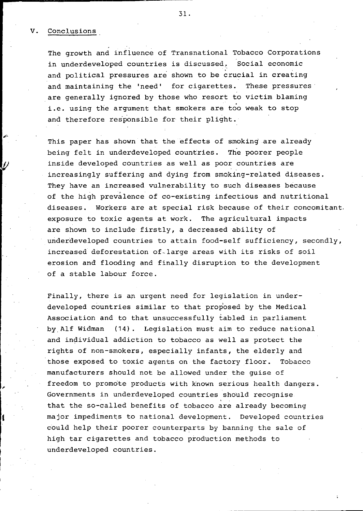#### V. Conclusions

The growth and influence of Transnational Tobacco Corporations in underdeveloped countries is discussed, Social economic and political pressures are shown to be crucial in creating and maintaining the 'need' for cigarettes. These pressures are generally ignored by those who resort to victim blaming i.e. using the argument that smokers are too weak to stop and therefore responsible for their plight.

This paper has shown that the effects of smoking are already being felt in underdeveloped countries. The poorer people inside developed countries as well as poor countries are increasingly suffering and dying from smoking-related diseases. They have an increased vulnerability to such diseases because of the high prevalence of co-existing infectious and nutritional diseases. Workers are at special risk because of their concomitant. exposure to toxic agents at work. The agricultural impacts are shown to include firstly, a decreased ability of underdeveloped countries to attain food-self sufficiency, secondly, increased deforestation of-large areas with its risks of soil erosion and flooding and finally disruption to the development of a stable labour force.

Finally, there is an urgent need for legislation in underdeveloped countries similar to that proposed by the Medical Association and to that unsuccessfully tabled in parliament byAlf Widman (14). Legislation must aim to reduce national and individual addiction to tobacco as well as protect the rights of non-smokers, especially infants, the elderly and those exposed to toxic agents on the factory floor. Tobacco manufacturers should not be allowed under the guise of freedom to promo'te products with known serious health dangers. Governments in underdeveloped countries should recognise that the so-called benefits of tobacco are already becoming major impediments to national development. Developed countries could help their poorer counterparts by banning the sale of high tar cigarettes and tobacco production methods to underdeveloped countries.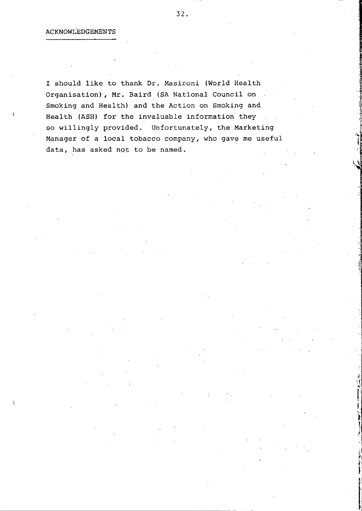I should like to thank Dr. Masironi (World Health Organisation), Mr. Baird (SA National Council on Smoking and Health) and the Action on Smoking and Health (ASH) for the invaluable information they so willingly provided. Unfortunately, the Marketing Manager of a local tobacco company, who gave me useful data, has asked not to be named.

"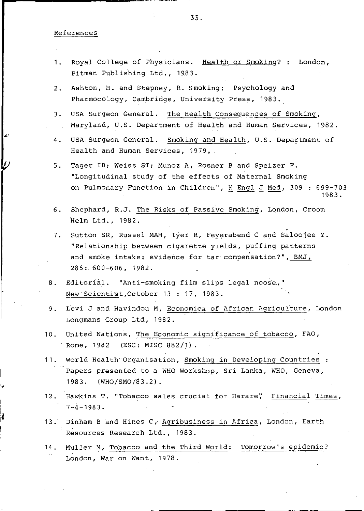#### References

- Royal College of Physicians. Health or Smoking? : London,  $1.$ Pitman Publishing Ltd., 1983.
- $2.$ Ashton, H. and Stepney, R. Smoking: Psychology and Pharmocology, Cambridge, University Press, 1983.
- $\overline{3}$ . USA Surgeon General. The Health Consequences of Smoking, Maryland, U.S. Department of Health and Human Services, 1982.
- 4. USA Surgeon General. Smoking and Health, U.S. Department of Health and Human Services, 1979.
- Tager IB; Weiss ST; Munoz A, Rosner B and Speizer F.  $5.$ "Longitudinal study of the effects of Maternal Smoking on Pulmonary Function in Children", N Engl J Med, 309 : 699-703 1983.
- $6.$ Shephard, R.J. The Risks of Passive Smoking, London, Croom Helm Ltd., 1982.
- Sutton SR, Russel MAH, Iyer R, Feyerabend C and Saloojee Y. 7. "Relationship between cigarette yields, puffing patterns and smoke intake: evidence for tar compensation?", BMJ,  $285:600 - 606,1982.$
- Editorial. "Anti-smoking film slips legal noose, 8. New Scientist, October 13: 17, 1983.
- $9.$ Levi J and Havindou M, Economics of African Agriculture, London Longmans Group Ltd, 1982.
- $10.$ United Nations, The Economic significance of tobacco, FAO, Rome, 1982 (ESC: MISC 882/1).
- World Health Organisation, Smoking in Developing Countries :  $11.$ Papers presented to a WHO Workshop, Sri Lanka, WHO, Geneva, 1983. (WHO/SMO/83.2).
- $12.$ Hawkins T. "Tobacco sales crucial for Harare", Financial Times,  $7 - 4 - 1983.$
- 13. Dinham B and Hines C, Agribusiness in Africa, London, Earth Resources Research Ltd., 1983.
- $14.$ Muller M, Tobacco and the Third World: Tomorrow's epidemic? London, War on Want, 1978.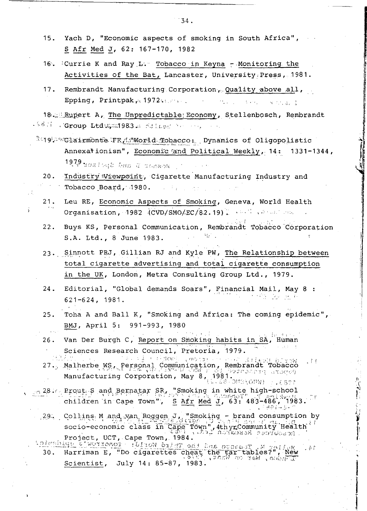- 15. Yach D, "Economic aspects of smoking in South Africa", S Afr Med J, 62: 167-170, 1982
- 16. Currie K and Ray L. Tobacco in Keyna Monitoring the Activities of the Bat, Lancaster, University Press, 1981.
- Rembrandt Manufacturing Corporation, Quality above all,  $17.$ Epping, Printpak,  $1972...$ Report Factor

18. Rupert A, The Unpredictable Economy, Stellenbosch, Rembrandt . <sup>5831</sup> (Group Ltdugan 983. Stilled and any

- and the clairmonte FR As World Tobacco: Dynamics of Oligopolistic Annexationism", Economic and Political Weekly, 14: 1331-1344, 1979 mosleud bus d'assach (\*
	- $20.$ Industry Viewpoint, Cigarette Manufacturing Industry and Tobacco Board, 1980. state for the con-
	- Leu RE, Economic Aspects of Smoking, Geneva, World Health  $21.$ Organisation, 1982 (CVD/SMO/EC/82.19). And the season
	- $22.$ Buys KS, Personal Communication, Rembrandt Tobacco Corporation S.A. Ltd., 8 June 1983.
	- 23. Sinnott PRJ, Gillian RJ and Kyle PW, The Relationship between total cigarette advertising and total cigarette consumption in the UK, London, Metra Consulting Group Ltd., 1979.
	- Editorial, "Global demands Soars", Financial Mail, May 8 :  $24.$ 43 - 22 - 81 P  $621 - 624$ , 1981.
	- $25.$ Toha A and Ball K, "Smoking and Africa: The coming epidemic", BMJ, April 5: 991-993, 1980
	- $26.$ Van Der Burgh C, Report on Smoking habits in SA, Human デコロー 土 Sciences Research Council, Pretoria, 1979.
	- Sciences Republic Contraction, Rembrand 103334 11
- a 28. Prout S and Bernatar SR, "Smoking in white high-school children in Cape Town",  $S$  Afr Med J, 63: 483-486, 1983. iker-s-r
	- 29. Collins M and van Roggen J, "Smoking brand consumption by socio-economic class in Cape Town", 4th yr Community Health if<br>Project, UCT, Cape Town, 1984.
- M. Tessoo and the Third World: Tonorrow's Budnetch Harriman E, "Do cigarettes cheat the car tables?", New<br>Scientist, July 14: 85-87, 1983. "And a red , nobel .  $\phi$  :  $30.$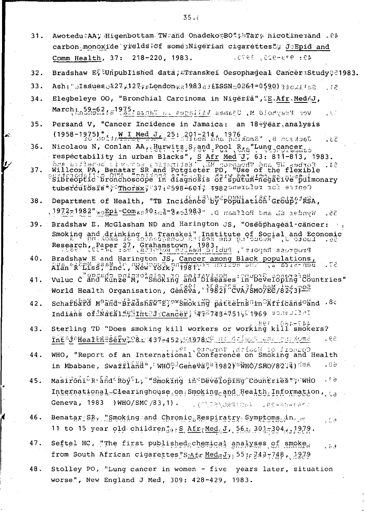- Awotedu (AA) Higenbottam TW and Onadeko BOT; FTars nicotine and .05  $31.$ carbon monoxide yrelds of some Nigerian cigarettes " JeEpid and Comm Health, 37: 218-220, 1983. 49: 979-925, 1975.
- Bradshaw Ef Unpublished data; Franskei Oesophageal Cancer Study ?? 1983.  $32.$
- $33.$  $.12$
- Elegbeleye 00, "Bronchial Carcinoma in Nigeria", SE.Afr, MedAJ,  $34.$ Vor Freyhold M, Ujamas Villages in Panza 1259 alsofonden, VS.
- $35.$ Persand V, "Cancer Incidence in Jamaica: an 18-year analysis (1958-1975) " MI Med J 25: 201-214, 1976<br>Jackson B, "Smoking and Teel C, 25: 201-214, 2016  $53.7$
- $36.$ Nicolaou N, Conlan AA, Hurwitz, S, and Pool R, a Lung cancer
- respectability in urban Blacks", S Afr Med U, 63: 37976676.<br>
Safr Med U, 63: 311-83, 1983.<br>
Willcox PA, Benatar SR and Potgleter PD, "Use of the flexible"  $37.$ tubercurbsis > Inorax; 37: 35984604; 198220910197 101 sidned
- Department of Health, "TB Incidence by Population Group ...  $38.$ 55. Wynder EL and Hoffman D, "9884ce8-61.000amo9"1qHew"2881x281,
- 39. Bradshaw E. McGlasham ND and Harington JS, "Oseophageal-cancer: Smoking and drinking in Transkei" Institute of Social and Economic<br>Research (Raper 27, Grahamstown, 1983, 2013), 2013, 1, 2008, 2008, 2009<br>Research (Raper 23, Srahamstown, 1983, 2014), 710468 secreors
- 40. Bradshaw E and Harington JS, Cancer among Black populations,  $.73$ Alan Abriss, and , we your point with the sur  $B$ en-bira  $a_i$
- vulue c and Kunze M, "Smoking and biseases in Developing countries" 41. World Health Organisation, Geneva, 1982; SdvA/SMO/EC/82-3)02
- schafbard Mand-Bradshawng; wshoking pattarnsam Christansolnd .80  $42.$ Indians of hatHl Witht Comber; 44587484751581969 spreader
- Sterling TD "Does smoking kill workers or working kill smokers?  $43.$ IntadaHealtheservaes. 437-452, 21978.0 at Arland case ou some  $59.$
- WHO, "Report of an International Conference on Smoking and Health 44. in Mbabane, Swazrland", WHO, Geneva; 1982) WHO/SMO/82:4) daA  $60.$
- 45. Masironi<sup>e</sup>R and Roy<sup>S</sup>L, "Smoking in Developing countries"; who  $.16$ International-Clearinghouse.on: Smokingcand Health Information, ca Geneva, 1983 ) WHO/SMC/83,1).  $1.490980/5151.$ thas-aberda.
- Benatar SR, "Smokang and Chronic Respiratry Symptoms in it 46. . C.A 11 to 15 year old children"<sub>915</sub> S. Afr<sub>T</sub>Med<sub>6</sub>J, 56: 301-304, 1279.
- Seftel HC. "The first published chemical analyses of smoke 47. فرط د from South African cigarettes SAfr Medgl<sub>7</sub>) 55;  $7487748$ , 1979
- Stolley PO, "Lung cancer in women five years later, situation 48. worse", New England J Med, 309: 428-429, 1983.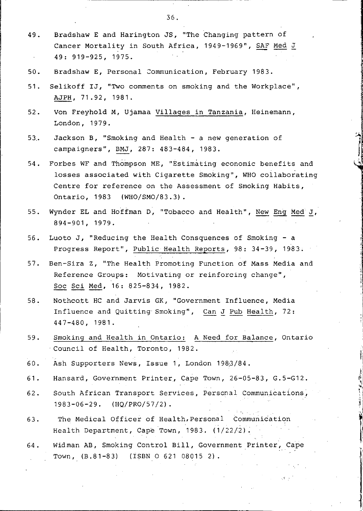- 49. Bradshaw E and Harington JS, "The Changing pattern of Cancer Mortality in South Africa, 1949-1969", SAF Med J 49: 919-925, 1975.
- 50. Bradshaw E, Personal 2ommunication, February 1983.
- 51. Selikoff IJ, "Two comments on smoking and the Workplace", AJPH, 71.92, 1981.
- 52. Von Freyhold M, Ujamaa Villages in Tanzania, Heinemann, London, 1979.
- 53.. Jackson B, "Smoking and Health a new generation of campaigners", BMJ, 287: 483-484, 1983.
- 54. Forbes WF and Thompson ME, "Estimating economic benefits and losses associated with Cigarette Smoking", WHO collaborating Centre for reference on the Assessment of Smoking Habits, Ontario, 1983 (WHO/SMO/83.3).
- 55. Wynder EL and Hoffman D, "Tobacco and Health", New Eng Med J, 894-901, 1979.
- 56. Luoto J, "Reducing the Health Consquences of Smoking a Progress Report", Public Health Reports, 98: 34-39, 1983.
- 57. Ben-Sira Z, "The Health Promoting Function of Mass Media and Reference Groups: Motivating or reinforcing change", Soc Sci Med, 16: 825-834,1982.
- 58. Nothco.tt HC and Jarvis GK, "Government Influence, Media Influence and Quitting Smoking", Can J Pub Health, 72: 447-480, 1981.
- 59. Smoking and Health in Ontario: A Need for Balance, Ontario Council of Health, Toronto, 1982.
- 60. Ash Supporters News, Issue 1, London 1983/84.
- 61. Hansard, Government Printer, Cape Town, 26-05-83, G.5-G12.
- 62. South African Transport Services, Personal Communications, 1983-06-29. (HQ/PRO/57/2) .
- 63. The Medical Officer of Health,Personal Communication Health Department, Cape Town, 1983. (1/22/2).
- 64. Widman AB, Smoking Control Bill, Government Printer, Cape Town, (B.81-83) (ISBN 0 621 08015 2).